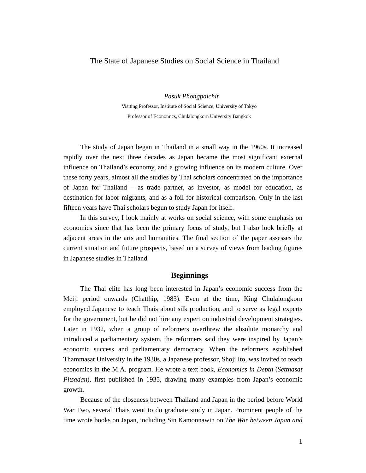# The State of Japanese Studies on Social Science in Thailand

*Pasuk Phongpaichit* 

Visiting Professor, Institute of Social Science, University of Tokyo Professor of Economics, Chulalongkorn University Bangkok

The study of Japan began in Thailand in a small way in the 1960s. It increased rapidly over the next three decades as Japan became the most significant external influence on Thailand's economy, and a growing influence on its modern culture. Over these forty years, almost all the studies by Thai scholars concentrated on the importance of Japan for Thailand – as trade partner, as investor, as model for education, as destination for labor migrants, and as a foil for historical comparison. Only in the last fifteen years have Thai scholars begun to study Japan for itself.

In this survey, I look mainly at works on social science, with some emphasis on economics since that has been the primary focus of study, but I also look briefly at adjacent areas in the arts and humanities. The final section of the paper assesses the current situation and future prospects, based on a survey of views from leading figures in Japanese studies in Thailand.

## **Beginnings**

The Thai elite has long been interested in Japan's economic success from the Meiji period onwards (Chatthip, 1983). Even at the time, King Chulalongkorn employed Japanese to teach Thais about silk production, and to serve as legal experts for the government, but he did not hire any expert on industrial development strategies. Later in 1932, when a group of reformers overthrew the absolute monarchy and introduced a parliamentary system, the reformers said they were inspired by Japan's economic success and parliamentary democracy. When the reformers established Thammasat University in the 1930s, a Japanese professor, Shoji Ito, was invited to teach economics in the M.A. program. He wrote a text book, *Economics in Depth* (*Setthasat Pitsadan*), first published in 1935, drawing many examples from Japan's economic growth.

Because of the closeness between Thailand and Japan in the period before World War Two, several Thais went to do graduate study in Japan. Prominent people of the time wrote books on Japan, including Sin Kamonnawin on *The War between Japan and*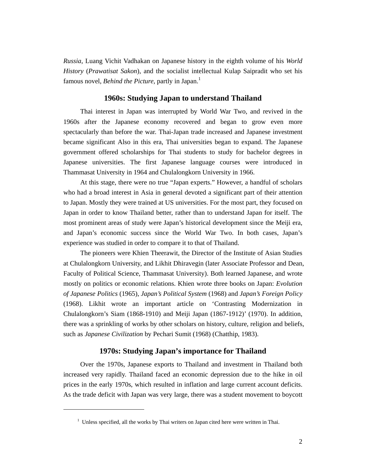*Russia*, Luang Vichit Vadhakan on Japanese history in the eighth volume of his *World History* (*Prawatisat Sakon*), and the socialist intellectual Kulap Saipradit who set his famous novel, *Behind the Picture*, partly in Japan.<sup>1</sup>

# **1960s: Studying Japan to understand Thailand**

Thai interest in Japan was interrupted by World War Two, and revived in the 1960s after the Japanese economy recovered and began to grow even more spectacularly than before the war. Thai-Japan trade increased and Japanese investment became significant Also in this era, Thai universities began to expand. The Japanese government offered scholarships for Thai students to study for bachelor degrees in Japanese universities. The first Japanese language courses were introduced in Thammasat University in 1964 and Chulalongkorn University in 1966.

At this stage, there were no true "Japan experts." However, a handful of scholars who had a broad interest in Asia in general devoted a significant part of their attention to Japan. Mostly they were trained at US universities. For the most part, they focused on Japan in order to know Thailand better, rather than to understand Japan for itself. The most prominent areas of study were Japan's historical development since the Meiji era, and Japan's economic success since the World War Two. In both cases, Japan's experience was studied in order to compare it to that of Thailand.

The pioneers were Khien Theerawit, the Director of the Institute of Asian Studies at Chulalongkorn University, and Likhit Dhiravegin (later Associate Professor and Dean, Faculty of Political Science, Thammasat University). Both learned Japanese, and wrote mostly on politics or economic relations. Khien wrote three books on Japan: *Evolution of Japanese Politics* (1965), *Japan's Political System* (1968) and *Japan's Foreign Policy* (1968). Likhit wrote an important article on 'Contrasting Modernization in Chulalongkorn's Siam (1868-1910) and Meiji Japan (1867-1912)' (1970). In addition, there was a sprinkling of works by other scholars on history, culture, religion and beliefs, such as *Japanese Civilization* by Pechari Sumit (1968) (Chatthip, 1983).

## **1970s: Studying Japan's importance for Thailand**

Over the 1970s, Japanese exports to Thailand and investment in Thailand both increased very rapidly. Thailand faced an economic depression due to the hike in oil prices in the early 1970s, which resulted in inflation and large current account deficits. As the trade deficit with Japan was very large, there was a student movement to boycott

<sup>&</sup>lt;sup>1</sup> Unless specified, all the works by Thai writers on Japan cited here were written in Thai.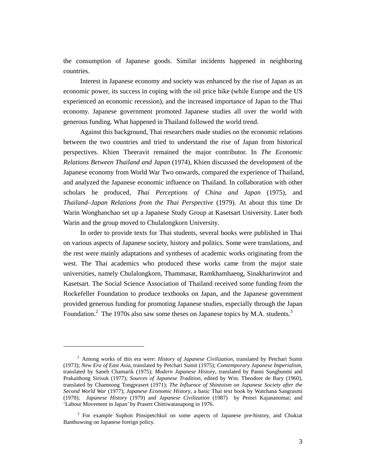the consumption of Japanese goods. Similar incidents happened in neighboring countries.

Interest in Japanese economy and society was enhanced by the rise of Japan as an economic power, its success in coping with the oil price hike (while Europe and the US experienced an economic recession), and the increased importance of Japan to the Thai economy. Japanese government promoted Japanese studies all over the world with generous funding. What happened in Thailand followed the world trend.

Against this background, Thai researchers made studies on the economic relations between the two countries and tried to understand the rise of Japan from historical perspectives. Khien Theeravit remained the major contributor. In *The Economic Relations Between Thailand and Japan* (1974), Khien discussed the development of the Japanese economy from World War Two onwards, compared the experience of Thailand, and analyzed the Japanese economic influence on Thailand. In collaboration with other scholars he produced, *Thai Perceptions of China and Japan* (1975), and *Thailand–Japan Relations from the Thai Perspective* (1979). At about this time Dr Warin Wonghanchao set up a Japanese Study Group at Kasetsart University. Later both Warin and the group moved to Chulalongkorn University.

In order to provide texts for Thai students, several books were published in Thai on various aspects of Japanese society, history and politics. Some were translations, and the rest were mainly adaptations and syntheses of academic works originating from the west. The Thai academics who produced these works came from the major state universities, namely Chulalongkorn, Thammasat, Ramkhamhaeng, Sinakharinwirot and Kasetsart. The Social Science Association of Thailand received some funding from the Rockefeller Foundation to produce textbooks on Japan, and the Japanese government provided generous funding for promoting Japanese studies, especially through the Japan Foundation.<sup>2</sup> The 1970s also saw some theses on Japanese topics by M.A. students.<sup>3</sup>

<sup>2</sup> Among works of this era were: *History of Japanese Civilization*, translated by Petchari Sumit (1973); *New Era of East Asia*, translated by Petchari Sumit (1975); *Contemporary Japanese Imperialism*, translated by Saneh Chamarik (1975); *Modern Japanese History*, translated by Panni Sungbunmi and Prakaithong Sirisuk (1977); *Sources of Japanese Tradition*, edited by Wm. Theodore de Bary (1960), translated by Chamnong Tongprasert (1971); *The Influence of Shintoism on Japanese Society after the Second World War* (1977); *Japanese Economic History*, a basic Thai text book by Watchana Sangrasmi (1978); *Japanese History* (1979) and *Japanese Civilization* (1987) by Pensri Kajananomai; and 'Labour Movement in Japan' by Prasert Chittiwatanapong in 1976.

<sup>&</sup>lt;sup>3</sup> For example Suphon Pinsipetchkul on some aspects of Japanese pre-history, and Chukiat Banthuwong on Japanese foreign policy.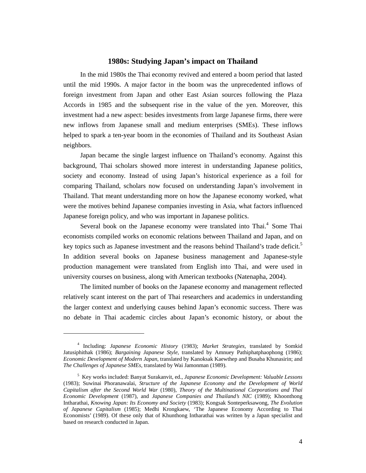## **1980s: Studying Japan's impact on Thailand**

In the mid 1980s the Thai economy revived and entered a boom period that lasted until the mid 1990s. A major factor in the boom was the unprecedented inflows of foreign investment from Japan and other East Asian sources following the Plaza Accords in 1985 and the subsequent rise in the value of the yen. Moreover, this investment had a new aspect: besides investments from large Japanese firms, there were new inflows from Japanese small and medium enterprises (SMEs). These inflows helped to spark a ten-year boom in the economies of Thailand and its Southeast Asian neighbors.

Japan became the single largest influence on Thailand's economy. Against this background, Thai scholars showed more interest in understanding Japanese politics, society and economy. Instead of using Japan's historical experience as a foil for comparing Thailand, scholars now focused on understanding Japan's involvement in Thailand. That meant understanding more on how the Japanese economy worked, what were the motives behind Japanese companies investing in Asia, what factors influenced Japanese foreign policy, and who was important in Japanese politics.

Several book on the Japanese economy were translated into Thai.<sup>4</sup> Some Thai economists compiled works on economic relations between Thailand and Japan, and on key topics such as Japanese investment and the reasons behind Thailand's trade deficit.<sup>5</sup> In addition several books on Japanese business management and Japanese-style production management were translated from English into Thai, and were used in university courses on business, along with American textbooks (Natenapha, 2004).

The limited number of books on the Japanese economy and management reflected relatively scant interest on the part of Thai researchers and academics in understanding the larger context and underlying causes behind Japan's economic success. There was no debate in Thai academic circles about Japan's economic history, or about the

<sup>4</sup> Including: *Japanese Economic History* (1983); *Market Strategies*, translated by Somkid Jatusiphithak (1986); *Bargaining Japanese Style*, translated by Amnuey Pathiphatphaophong (1986); *Economic Development of Modern Japan*, translated by Kanoksak Kaewthep and Busaba Khunasirin; and *The Challenges of Japanese SMEs*, translated by Wai Jamonman (1989).

<sup>5</sup> Key works included: Banyat Surakanvit, ed., *Japanese Economic Development: Valuable Lessons* (1983); Suwinai Phoranawalai, *Structure of the Japanese Economy and the Development of World Capitalism after the Second World War* (1980), *Theory of the Multinational Corporations and Thai Economic Development* (1987), and *Japanese Companies and Thailand's NIC* (1989); Khoonthong Intharathai, *Knowing Japan: Its Economy and Society* (1983); Kongsak Sonteperksawong, *The Evolution of Japanese Capitalism* (1985); Medhi Krongkaew, 'The Japanese Economy According to Thai Economists' (1989). Of these only that of Khunthong Intharathai was written by a Japan specialist and based on research conducted in Japan.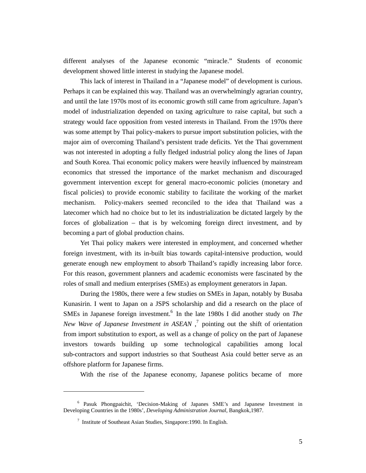different analyses of the Japanese economic "miracle." Students of economic development showed little interest in studying the Japanese model.

This lack of interest in Thailand in a "Japanese model" of development is curious. Perhaps it can be explained this way. Thailand was an overwhelmingly agrarian country, and until the late 1970s most of its economic growth still came from agriculture. Japan's model of industrialization depended on taxing agriculture to raise capital, but such a strategy would face opposition from vested interests in Thailand. From the 1970s there was some attempt by Thai policy-makers to pursue import substitution policies, with the major aim of overcoming Thailand's persistent trade deficits. Yet the Thai government was not interested in adopting a fully fledged industrial policy along the lines of Japan and South Korea. Thai economic policy makers were heavily influenced by mainstream economics that stressed the importance of the market mechanism and discouraged government intervention except for general macro-economic policies (monetary and fiscal policies) to provide economic stability to facilitate the working of the market mechanism. Policy-makers seemed reconciled to the idea that Thailand was a latecomer which had no choice but to let its industrialization be dictated largely by the forces of globalization – that is by welcoming foreign direct investment, and by becoming a part of global production chains.

Yet Thai policy makers were interested in employment, and concerned whether foreign investment, with its in-built bias towards capital-intensive production, would generate enough new employment to absorb Thailand's rapidly increasing labor force. For this reason, government planners and academic economists were fascinated by the roles of small and medium enterprises (SMEs) as employment generators in Japan.

During the 1980s, there were a few studies on SMEs in Japan, notably by Busaba Kunasirin. I went to Japan on a JSPS scholarship and did a research on the place of SMEs in Japanese foreign investment.<sup>6</sup> In the late 1980s I did another study on *The New Wave of Japanese Investment in ASEAN*,<sup>7</sup> pointing out the shift of orientation from import substitution to export, as well as a change of policy on the part of Japanese investors towards building up some technological capabilities among local sub-contractors and support industries so that Southeast Asia could better serve as an offshore platform for Japanese firms.

With the rise of the Japanese economy, Japanese politics became of more

<sup>6</sup> Pasuk Phongpaichit, 'Decision-Making of Japanes SME's and Japanese Investment in Developing Countries in the 1980s', *Developing Administration Journal*, Bangkok,1987.

<sup>7</sup> Institute of Southeast Asian Studies, Singapore:1990. In English.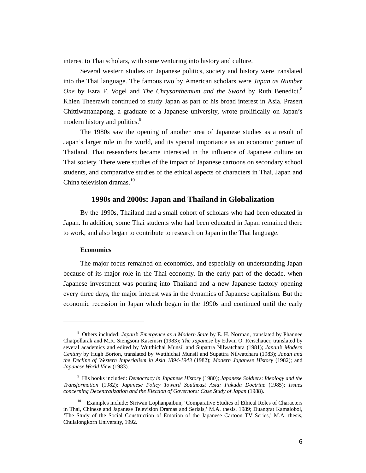interest to Thai scholars, with some venturing into history and culture.

Several western studies on Japanese politics, society and history were translated into the Thai language. The famous two by American scholars were *Japan as Number One* by Ezra F. Vogel and *The Chrysanthemum and the Sword* by Ruth Benedict.<sup>8</sup> Khien Theerawit continued to study Japan as part of his broad interest in Asia. Prasert Chittiwattanapong, a graduate of a Japanese university, wrote prolifically on Japan's modern history and politics.<sup>9</sup>

The 1980s saw the opening of another area of Japanese studies as a result of Japan's larger role in the world, and its special importance as an economic partner of Thailand. Thai researchers became interested in the influence of Japanese culture on Thai society. There were studies of the impact of Japanese cartoons on secondary school students, and comparative studies of the ethical aspects of characters in Thai, Japan and China television dramas. $10$ 

#### **1990s and 2000s: Japan and Thailand in Globalization**

By the 1990s, Thailand had a small cohort of scholars who had been educated in Japan. In addition, some Thai students who had been educated in Japan remained there to work, and also began to contribute to research on Japan in the Thai language.

### **Economics**

 $\overline{a}$ 

The major focus remained on economics, and especially on understanding Japan because of its major role in the Thai economy. In the early part of the decade, when Japanese investment was pouring into Thailand and a new Japanese factory opening every three days, the major interest was in the dynamics of Japanese capitalism. But the economic recession in Japan which began in the 1990s and continued until the early

<sup>8</sup> Others included: *Japan's Emergence as a Modern State* by E. H. Norman, translated by Phannee Chatpollarak and M.R. Siengsom Kasemsri (1983); *The Japanese* by Edwin O. Reischauer, translated by several academics and edited by Wutthichai Munsil and Supattra Nilwatchara (1981); *Japan's Modern Century* by Hugh Borton, translated by Wutthichai Munsil and Supattra Nilwatchara (1983); *Japan and the Decline of Western Imperialism in Asia 1894-1943* (1982); *Modern Japanese History* (1982); and *Japanese World View* (1983).

<sup>9</sup> His books included: *Democracy in Japanese History* (1980); *Japanese Soldiers*: *Ideology and the Transformation* (1982); *Japanese Policy Toward Southeast Asia: Fukuda Doctrine* (1985); *Issues concerning Decentralization and the Election of Governors: Case Study of Japan* (1988).

<sup>&</sup>lt;sup>10</sup> Examples include: Siriwan Lophanpaibun, 'Comparative Studies of Ethical Roles of Characters in Thai, Chinese and Japanese Television Dramas and Serials,' M.A. thesis, 1989; Duangrat Kamalobol, 'The Study of the Social Construction of Emotion of the Japanese Cartoon TV Series,' M.A. thesis, Chulalongkorn University, 1992.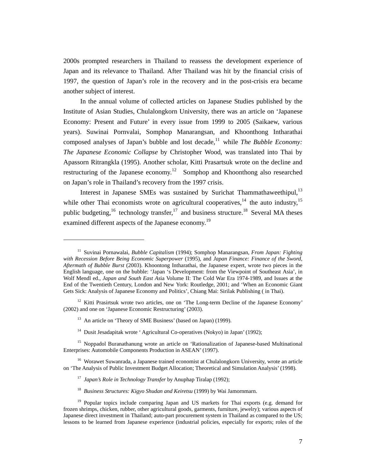2000s prompted researchers in Thailand to reassess the development experience of Japan and its relevance to Thailand. After Thailand was hit by the financial crisis of 1997, the question of Japan's role in the recovery and in the post-crisis era became another subject of interest.

In the annual volume of collected articles on Japanese Studies published by the Institute of Asian Studies, Chulalongkorn University, there was an article on 'Japanese Economy: Present and Future' in every issue from 1999 to 2005 (Saikaew, various years). Suwinai Pornvalai, Somphop Manarangsan, and Khoonthong Intharathai composed analyses of Japan's bubble and lost decade,<sup>11</sup> while *The Bubble Economy*: *The Japanese Economic Collapse* by Christopher Wood, was translated into Thai by Apassorn Ritrangkla (1995). Another scholar, Kitti Prasartsuk wrote on the decline and restructuring of the Japanese economy.<sup>12</sup> Somphop and Khoonthong also researched on Japan's role in Thailand's recovery from the 1997 crisis.

Interest in Japanese SMEs was sustained by Surichat Thammathaweethipul,<sup>13</sup> while other Thai economists wrote on agricultural cooperatives,  $14$  the auto industry,  $15$ public budgeting,<sup>16</sup> technology transfer,<sup>17</sup> and business structure.<sup>18</sup> Several MA theses examined different aspects of the Japanese economy.<sup>19</sup>

<sup>13</sup> An article on 'Theory of SME Business' (based on Japan) (1999).

 $\overline{a}$ 

<sup>14</sup> Dusit Jesadapitak wrote ' Agricultural Co-operatives (Nokyo) in Japan' (1992);

<sup>11</sup> Suvinai Pornawalai, *Bubble Capitalism* (1994); Somphop Manarangsan, *From Japan: Fighting with Recession Before Being Economic Superpower* (1995), and *Japan Finance: Finance of the Sword, Aftermath of Bubble Burst* (2003). Khoontong Intharathai, the Japanese expert, wrote two pieces in the English language, one on the bubble: 'Japan 's Development: from the Viewpoint of Southeast Asia', in Wolf Mendl ed., *Japan and South East As*ia Volume II: The Cold War Era 1974-1989, and Issues at the End of the Twentieth Century, London and New York: Routledge, 2001; and 'When an Economic Giant Gets Sick: Analysis of Japanese Economy and Politics', Chiang Mai: Sirilak Publishing ( in Thai).

<sup>&</sup>lt;sup>12</sup> Kitti Prasirtsuk wrote two articles, one on 'The Long-term Decline of the Japanese Economy' (2002) and one on 'Japanese Economic Restructuring' (2003).

<sup>&</sup>lt;sup>15</sup> Noppadol Buranathanung wrote an article on 'Rationalization of Japanese-based Multinational Enterprises: Automobile Components Production in ASEAN' (1997).

<sup>&</sup>lt;sup>16</sup> Worawet Suwanrada, a Japanese trained economist at Chulalongkorn University, wrote an article on 'The Analysis of Public Investment Budget Allocation; Theoretical and Simulation Analysis' (1998).

<sup>17</sup> *Japan's Role in Technology Transfer* by Anuphap Tiralap (1992);

<sup>18</sup> *Business Structures: Kigyo Shudan and Keiretsu* (1999) by Wai Jamornmarn.

<sup>&</sup>lt;sup>19</sup> Popular topics include comparing Japan and US markets for Thai exports (e.g. demand for frozen shrimps, chicken, rubber, other agricultural goods, garments, furniture, jewelry); various aspects of Japanese direct investment in Thailand; auto-part procurement system in Thailand as compared to the US; lessons to be learned from Japanese experience (industrial policies, especially for exports; roles of the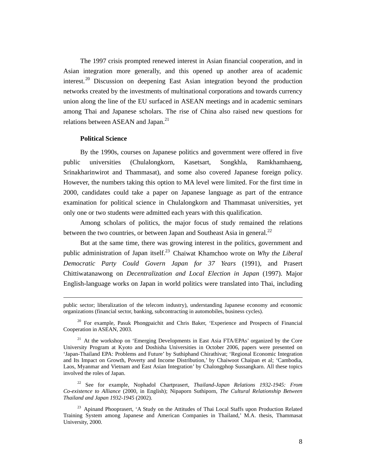The 1997 crisis prompted renewed interest in Asian financial cooperation, and in Asian integration more generally, and this opened up another area of academic interest.<sup>20</sup> Discussion on deepening East Asian integration beyond the production networks created by the investments of multinational corporations and towards currency union along the line of the EU surfaced in ASEAN meetings and in academic seminars among Thai and Japanese scholars. The rise of China also raised new questions for relations between ASEAN and Japan.<sup>21</sup>

#### **Political Science**

-

By the 1990s, courses on Japanese politics and government were offered in five public universities (Chulalongkorn, Kasetsart, Songkhla, Ramkhamhaeng, Srinakharinwirot and Thammasat), and some also covered Japanese foreign policy. However, the numbers taking this option to MA level were limited. For the first time in 2000, candidates could take a paper on Japanese language as part of the entrance examination for political science in Chulalongkorn and Thammasat universities, yet only one or two students were admitted each years with this qualification.

Among scholars of politics, the major focus of study remained the relations between the two countries, or between Japan and Southeast Asia in general.<sup>22</sup>

But at the same time, there was growing interest in the politics, government and public administration of Japan itself.<sup>23</sup> Chaiwat Khamchoo wrote on *Why the Liberal Democratic Party Could Govern Japan for 37 Years* (1991), and Prasert Chittiwatanawong on *Decentralization and Local Election in Japan* (1997). Major English-language works on Japan in world politics were translated into Thai, including

public sector; liberalization of the telecom industry), understanding Japanese economy and economic organizations (financial sector, banking, subcontracting in automobiles, business cycles).

<sup>20</sup> For example, Pasuk Phongpaichit and Chris Baker, 'Experience and Prospects of Financial Cooperation in ASEAN, 2003.

<sup>&</sup>lt;sup>21</sup> At the workshop on 'Emerging Developments in East Asia FTA/EPAs' organized by the Core University Program at Kyoto and Doshisha Universities in October 2006, papers were presented on 'Japan-Thailand EPA: Problems and Future' by Suthiphand Chirathivat; 'Regional Economic Integration and Its Impact on Growth, Poverty and Income Distribution,' by Chaiwoot Chaipan et al; 'Cambodia, Laos, Myanmar and Vietnam and East Asian Integration' by Chalongphop Sussangkarn. All these topics involved the roles of Japan.

<sup>22</sup> See for example, Nophadol Chartprasert, *Thailand-Japan Relations 1932-1945: From Co-existence to Alliance* (2000, in English); Nipaporn Suthiporn, *The Cultural Relationship Between Thailand and Japan 1932-1945* (2002).

<sup>&</sup>lt;sup>23</sup> Apinand Phooprasert, 'A Study on the Attitudes of Thai Local Staffs upon Production Related Training System among Japanese and American Companies in Thailand,' M.A. thesis, Thammasat University, 2000.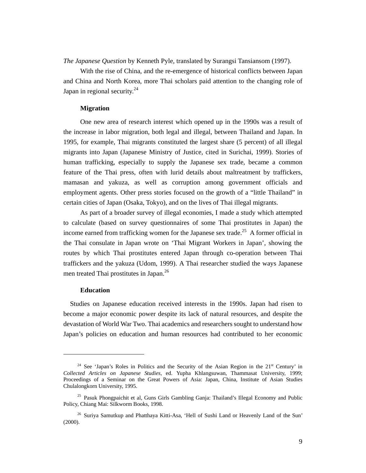*The Japanese Question* by Kenneth Pyle, translated by Surangsi Tansiansom (1997).

With the rise of China, and the re-emergence of historical conflicts between Japan and China and North Korea, more Thai scholars paid attention to the changing role of Japan in regional security.<sup>24</sup>

#### **Migration**

One new area of research interest which opened up in the 1990s was a result of the increase in labor migration, both legal and illegal, between Thailand and Japan. In 1995, for example, Thai migrants constituted the largest share (5 percent) of all illegal migrants into Japan (Japanese Ministry of Justice, cited in Surichai, 1999). Stories of human trafficking, especially to supply the Japanese sex trade, became a common feature of the Thai press, often with lurid details about maltreatment by traffickers, mamasan and yakuza, as well as corruption among government officials and employment agents. Other press stories focused on the growth of a "little Thailand" in certain cities of Japan (Osaka, Tokyo), and on the lives of Thai illegal migrants.

As part of a broader survey of illegal economies, I made a study which attempted to calculate (based on survey questionnaires of some Thai prostitutes in Japan) the income earned from trafficking women for the Japanese sex trade.<sup>25</sup> A former official in the Thai consulate in Japan wrote on 'Thai Migrant Workers in Japan', showing the routes by which Thai prostitutes entered Japan through co-operation between Thai traffickers and the yakuza (Udom, 1999). A Thai researcher studied the ways Japanese men treated Thai prostitutes in Japan.<sup>26</sup>

#### **Education**

 $\overline{a}$ 

Studies on Japanese education received interests in the 1990s. Japan had risen to become a major economic power despite its lack of natural resources, and despite the devastation of World War Two. Thai academics and researchers sought to understand how Japan's policies on education and human resources had contributed to her economic

<sup>&</sup>lt;sup>24</sup> See 'Japan's Roles in Politics and the Security of the Asian Region in the  $21<sup>st</sup>$  Century' in *Collected Articles on Japanese Studies*, ed. Yupha Khlangsuwan, Thammasat University, 1999; Proceedings of a Seminar on the Great Powers of Asia: Japan, China, Institute of Asian Studies Chulalongkorn University, 1995.

<sup>&</sup>lt;sup>25</sup> Pasuk Phongpaichit et al, Guns Girls Gambling Ganja: Thailand's Illegal Economy and Public Policy, Chiang Mai: Silkworm Books, 1998.

<sup>&</sup>lt;sup>26</sup> Suriya Samutkup and Phatthaya Kitti-Asa, 'Hell of Sushi Land or Heavenly Land of the Sun' (2000).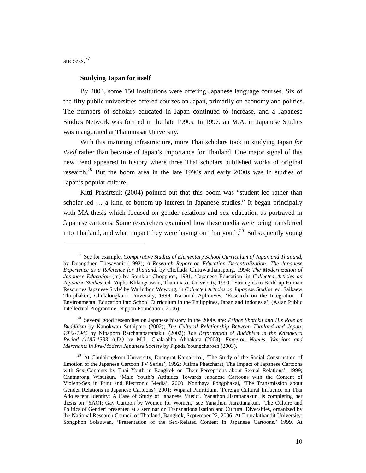success.<sup>27</sup>

 $\overline{a}$ 

#### **Studying Japan for itself**

By 2004, some 150 institutions were offering Japanese language courses. Six of the fifty public universities offered courses on Japan, primarily on economy and politics. The numbers of scholars educated in Japan continued to increase, and a Japanese Studies Network was formed in the late 1990s. In 1997, an M.A. in Japanese Studies was inaugurated at Thammasat University.

With this maturing infrastructure, more Thai scholars took to studying Japan *for itself* rather than because of Japan's importance for Thailand. One major signal of this new trend appeared in history where three Thai scholars published works of original research.<sup>28</sup> But the boom area in the late 1990s and early 2000s was in studies of Japan's popular culture.

Kitti Prasirtsuk (2004) pointed out that this boom was "student-led rather than scholar-led … a kind of bottom-up interest in Japanese studies." It began principally with MA thesis which focused on gender relations and sex education as portrayed in Japanese cartoons. Some researchers examined how these media were being transferred into Thailand, and what impact they were having on Thai youth.<sup>29</sup> Subsequently young

<sup>27</sup> See for example, *Comparative Studies of Elementary School Curriculum of Japan and Thailand*, by Duangduen Thesavanit (1992); *A Research Report on Education Decentralization: The Japanese Experience as a Reference for Thailand*, by Chollada Chittiwatthanapong, 1994; *The Modernization of Japanese Education* (tr.) by Somkiat Chopphon, 1991, 'Japanese Education' in *Collected Articles on Japanese Studies*, ed. Yupha Khlangsuwan, Thammasat University, 1999; 'Strategies to Build up Human Resources Japanese Style' by Warinthon Wowong, in *Collected Articles on Japanese Studies*, ed. Saikaew Thi-phakon, Chulalongkorn University, 1999; Narumol Aphinives, 'Research on the Integration of Environmental Education into School Curriculum in the Philippines, Japan and Indonesia', (Asian Public Intellectual Programme, Nippon Foundation, 2006).

<sup>28</sup> Several good researches on Japanese history in the 2000s are: *Prince Shotoku and His Role on Buddhism* by Kanokwan Suthiporn (2002); *The Cultural Relationship Between Thailand and Japan, 1932-1945* by Nipaporn Ratchatapattanakul (2002); *The Reformation of Buddhism in the Kamakura Period (1185-1333 A.D.)* by M.L. Chakrabha Abhakara (2003); *Emperor, Nobles, Warriors and Merchants in Pre-Modern Japanese Society* by Pipada Youngcharoen (2003).

<sup>&</sup>lt;sup>29</sup> At Chulalongkorn University, Duangrat Kamalobol, 'The Study of the Social Construction of Emotion of the Japanese Cartoon TV Series', 1992; Jutima Phetcharat, The Impact of Japanese Cartoons with Sex Contents by Thai Youth in Bangkok on Their Perceptions about Sexual Relations', 1999; Chatnarong Wisutkun, 'Male Youth's Attitudes Towards Japanese Cartoons with the Content of Violent-Sex in Print and Electronic Media', 2000; Nonthaya Pongphakai, 'The Transmission about Gender Relations in Japanese Cartoons', 2001; Wiparat Panritdum, 'Foreign Cultural Influence on Thai Adolescent Identity: A Case of Study of Japanese Music'. Yanathon Jiarattanakun, is completing her thesis on 'YAOI: Gay Cartoon by Women for Women,' see Yanathon Jiarattanakun, 'The Culture and Politics of Gender' presented at a seminar on Transnationalisation and Cultural Diversities, organized by the National Research Council of Thailand, Bangkok, September 22, 2006. At Thurakitbandit University: Songphon Soisuwan, 'Presentation of the Sex-Related Content in Japanese Cartoons,' 1999. At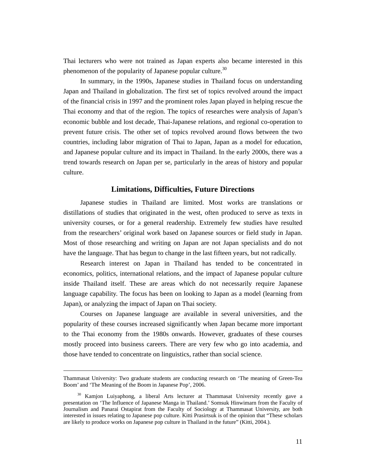Thai lecturers who were not trained as Japan experts also became interested in this phenomenon of the popularity of Japanese popular culture.<sup>30</sup>

In summary, in the 1990s, Japanese studies in Thailand focus on understanding Japan and Thailand in globalization. The first set of topics revolved around the impact of the financial crisis in 1997 and the prominent roles Japan played in helping rescue the Thai economy and that of the region. The topics of researches were analysis of Japan's economic bubble and lost decade, Thai-Japanese relations, and regional co-operation to prevent future crisis. The other set of topics revolved around flows between the two countries, including labor migration of Thai to Japan, Japan as a model for education, and Japanese popular culture and its impact in Thailand. In the early 2000s, there was a trend towards research on Japan per se, particularly in the areas of history and popular culture.

## **Limitations, Difficulties, Future Directions**

Japanese studies in Thailand are limited. Most works are translations or distillations of studies that originated in the west, often produced to serve as texts in university courses, or for a general readership. Extremely few studies have resulted from the researchers' original work based on Japanese sources or field study in Japan. Most of those researching and writing on Japan are not Japan specialists and do not have the language. That has begun to change in the last fifteen years, but not radically.

Research interest on Japan in Thailand has tended to be concentrated in economics, politics, international relations, and the impact of Japanese popular culture inside Thailand itself. These are areas which do not necessarily require Japanese language capability. The focus has been on looking to Japan as a model (learning from Japan), or analyzing the impact of Japan on Thai society.

Courses on Japanese language are available in several universities, and the popularity of these courses increased significantly when Japan became more important to the Thai economy from the 1980s onwards. However, graduates of these courses mostly proceed into business careers. There are very few who go into academia, and those have tended to concentrate on linguistics, rather than social science.

-

Thammasat University: Two graduate students are conducting research on 'The meaning of Green-Tea Boom' and 'The Meaning of the Boom in Japanese Pop', 2006.

<sup>&</sup>lt;sup>30</sup> Kamjon Luiyaphong, a liberal Arts lecturer at Thammasat University recently gave a presentation on 'The Influence of Japanese Manga in Thailand.' Somsuk Hinwimarn from the Faculty of Journalism and Panarai Ostapirat from the Faculty of Sociology at Thammasat University, are both interested in issues relating to Japanese pop culture. Kitti Prasirtsuk is of the opinion that "These scholars are likely to produce works on Japanese pop culture in Thailand in the future" (Kitti, 2004.).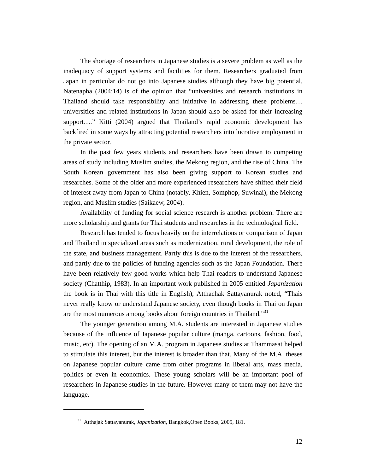The shortage of researchers in Japanese studies is a severe problem as well as the inadequacy of support systems and facilities for them. Researchers graduated from Japan in particular do not go into Japanese studies although they have big potential. Natenapha (2004:14) is of the opinion that "universities and research institutions in Thailand should take responsibility and initiative in addressing these problems… universities and related institutions in Japan should also be asked for their increasing support…." Kitti (2004) argued that Thailand's rapid economic development has backfired in some ways by attracting potential researchers into lucrative employment in the private sector.

In the past few years students and researchers have been drawn to competing areas of study including Muslim studies, the Mekong region, and the rise of China. The South Korean government has also been giving support to Korean studies and researches. Some of the older and more experienced researchers have shifted their field of interest away from Japan to China (notably, Khien, Somphop, Suwinai), the Mekong region, and Muslim studies (Saikaew, 2004).

Availability of funding for social science research is another problem. There are more scholarship and grants for Thai students and researches in the technological field.

Research has tended to focus heavily on the interrelations or comparison of Japan and Thailand in specialized areas such as modernization, rural development, the role of the state, and business management. Partly this is due to the interest of the researchers, and partly due to the policies of funding agencies such as the Japan Foundation. There have been relatively few good works which help Thai readers to understand Japanese society (Chatthip, 1983). In an important work published in 2005 entitled *Japanization* the book is in Thai with this title in English), Atthachak Sattayanurak noted, "Thais never really know or understand Japanese society, even though books in Thai on Japan are the most numerous among books about foreign countries in Thailand."<sup>31</sup>

The younger generation among M.A. students are interested in Japanese studies because of the influence of Japanese popular culture (manga, cartoons, fashion, food, music, etc). The opening of an M.A. program in Japanese studies at Thammasat helped to stimulate this interest, but the interest is broader than that. Many of the M.A. theses on Japanese popular culture came from other programs in liberal arts, mass media, politics or even in economics. These young scholars will be an important pool of researchers in Japanese studies in the future. However many of them may not have the language.

<sup>31</sup> Atthajak Sattayanurak, *Japanization*, Bangkok,Open Books, 2005, 181.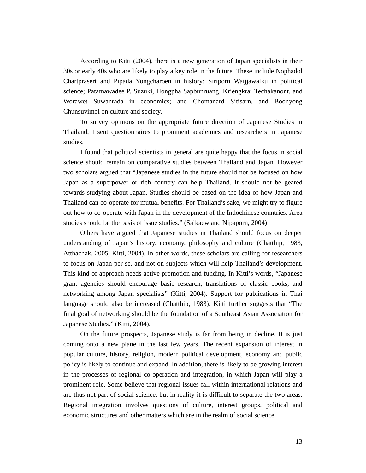According to Kitti (2004), there is a new generation of Japan specialists in their 30s or early 40s who are likely to play a key role in the future. These include Nophadol Chartprasert and Pipada Yongcharoen in history; Siriporn Waijjawalku in political science; Patamawadee P. Suzuki, Hongpha Sapbunruang, Kriengkrai Techakanont, and Worawet Suwanrada in economics; and Chomanard Sitisarn, and Boonyong Chunsuvimol on culture and society.

To survey opinions on the appropriate future direction of Japanese Studies in Thailand, I sent questionnaires to prominent academics and researchers in Japanese studies.

I found that political scientists in general are quite happy that the focus in social science should remain on comparative studies between Thailand and Japan. However two scholars argued that "Japanese studies in the future should not be focused on how Japan as a superpower or rich country can help Thailand. It should not be geared towards studying about Japan. Studies should be based on the idea of how Japan and Thailand can co-operate for mutual benefits. For Thailand's sake, we might try to figure out how to co-operate with Japan in the development of the Indochinese countries. Area studies should be the basis of issue studies." (Saikaew and Nipaporn, 2004)

Others have argued that Japanese studies in Thailand should focus on deeper understanding of Japan's history, economy, philosophy and culture (Chatthip, 1983, Atthachak, 2005, Kitti, 2004). In other words, these scholars are calling for researchers to focus on Japan per se, and not on subjects which will help Thailand's development. This kind of approach needs active promotion and funding. In Kitti's words, "Japanese grant agencies should encourage basic research, translations of classic books, and networking among Japan specialists" (Kitti, 2004). Support for publications in Thai language should also be increased (Chatthip, 1983). Kitti further suggests that "The final goal of networking should be the foundation of a Southeast Asian Association for Japanese Studies." (Kitti, 2004).

On the future prospects, Japanese study is far from being in decline. It is just coming onto a new plane in the last few years. The recent expansion of interest in popular culture, history, religion, modern political development, economy and public policy is likely to continue and expand. In addition, there is likely to be growing interest in the processes of regional co-operation and integration, in which Japan will play a prominent role. Some believe that regional issues fall within international relations and are thus not part of social science, but in reality it is difficult to separate the two areas. Regional integration involves questions of culture, interest groups, political and economic structures and other matters which are in the realm of social science.